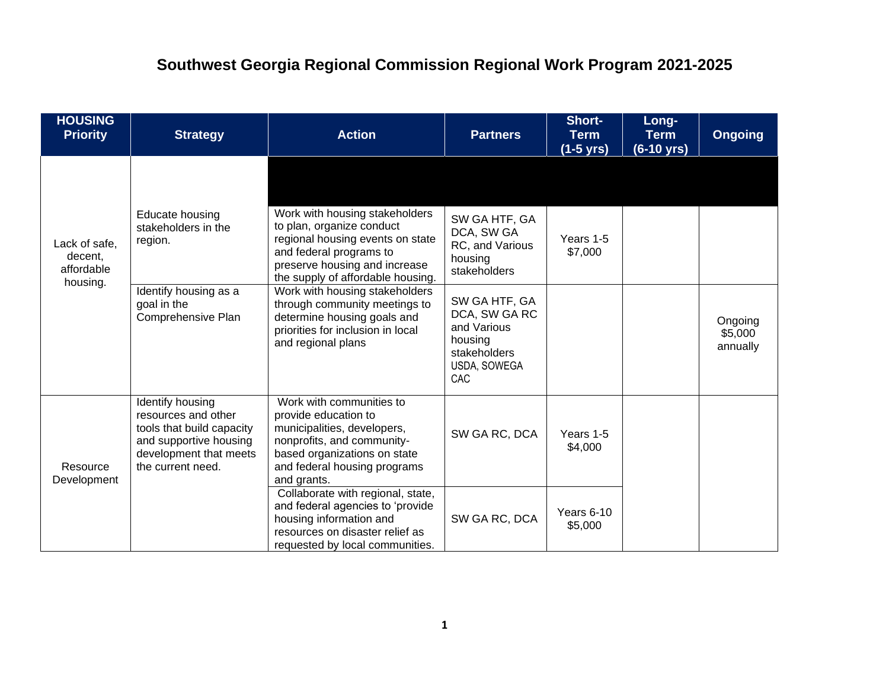## **Southwest Georgia Regional Commission Regional Work Program 2021-2025**

| <b>HOUSING</b><br><b>Priority</b>                  | <b>Strategy</b>                                                                                                                               | <b>Action</b>                                                                                                                                                                                                                                                                                                                                                 | <b>Partners</b>                                                                                                                                                              | Short-<br><b>Term</b><br><u>(1-5 yrs)</u> | Long-<br><b>Term</b><br>(6-10 yrs) | <b>Ongoing</b>                 |
|----------------------------------------------------|-----------------------------------------------------------------------------------------------------------------------------------------------|---------------------------------------------------------------------------------------------------------------------------------------------------------------------------------------------------------------------------------------------------------------------------------------------------------------------------------------------------------------|------------------------------------------------------------------------------------------------------------------------------------------------------------------------------|-------------------------------------------|------------------------------------|--------------------------------|
| Lack of safe,<br>decent,<br>affordable<br>housing. | Educate housing<br>stakeholders in the<br>region.<br>Identify housing as a<br>goal in the<br>Comprehensive Plan                               | Work with housing stakeholders<br>to plan, organize conduct<br>regional housing events on state<br>and federal programs to<br>preserve housing and increase<br>the supply of affordable housing.<br>Work with housing stakeholders<br>through community meetings to<br>determine housing goals and<br>priorities for inclusion in local<br>and regional plans | SW GA HTF, GA<br>DCA, SW GA<br>RC, and Various<br>housing<br>stakeholders<br>SW GA HTF, GA<br>DCA, SW GA RC<br>and Various<br>housing<br>stakeholders<br>USDA, SOWEGA<br>CAC | Years 1-5<br>\$7,000                      |                                    | Ongoing<br>\$5,000<br>annually |
| Resource<br>Development                            | Identify housing<br>resources and other<br>tools that build capacity<br>and supportive housing<br>development that meets<br>the current need. | Work with communities to<br>provide education to<br>municipalities, developers,<br>nonprofits, and community-<br>based organizations on state<br>and federal housing programs<br>and grants.                                                                                                                                                                  | SW GA RC, DCA                                                                                                                                                                | Years 1-5<br>\$4,000                      |                                    |                                |
|                                                    |                                                                                                                                               | Collaborate with regional, state,<br>and federal agencies to 'provide<br>housing information and<br>resources on disaster relief as<br>requested by local communities.                                                                                                                                                                                        | SW GA RC, DCA                                                                                                                                                                | Years 6-10<br>\$5,000                     |                                    |                                |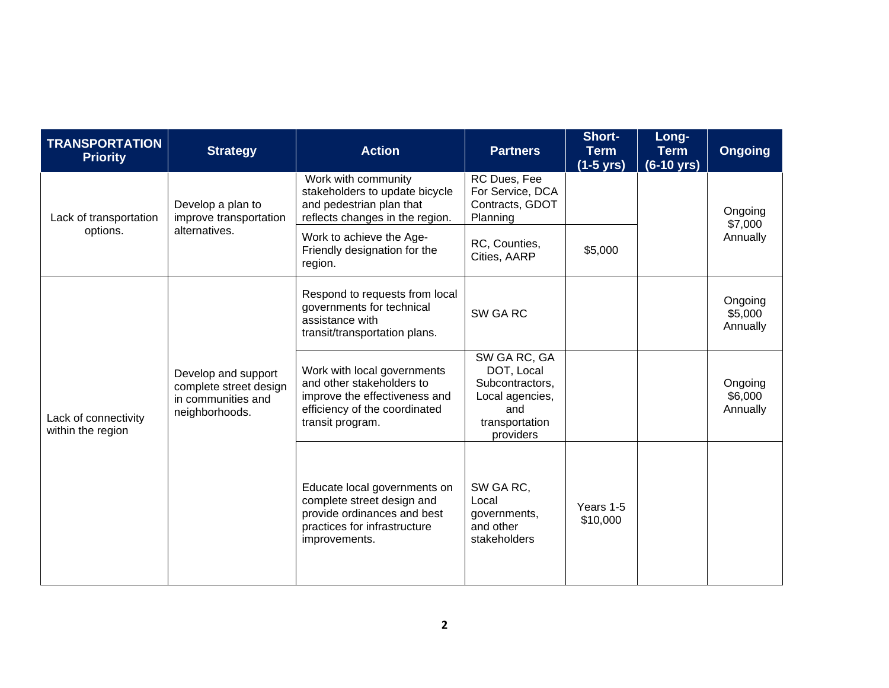| <b>TRANSPORTATION</b><br><b>Priority</b>  | <b>Strategy</b>                                                                       | <b>Action</b>                                                                                                                                  | <b>Partners</b>                                                                                        | Short-<br><b>Term</b><br>$(1-5 \text{ yrs})$ | Long-<br><b>Term</b><br>$(6-10 \text{ yrs})$ | <b>Ongoing</b>                 |
|-------------------------------------------|---------------------------------------------------------------------------------------|------------------------------------------------------------------------------------------------------------------------------------------------|--------------------------------------------------------------------------------------------------------|----------------------------------------------|----------------------------------------------|--------------------------------|
| Lack of transportation                    | Develop a plan to<br>improve transportation                                           | Work with community<br>stakeholders to update bicycle<br>and pedestrian plan that<br>reflects changes in the region.                           | RC Dues, Fee<br>For Service, DCA<br>Contracts, GDOT<br>Planning                                        |                                              |                                              | Ongoing<br>\$7,000<br>Annually |
| options.                                  | alternatives.                                                                         | Work to achieve the Age-<br>Friendly designation for the<br>region.                                                                            | RC, Counties,<br>Cities, AARP                                                                          | \$5,000                                      |                                              |                                |
|                                           |                                                                                       | Respond to requests from local<br>governments for technical<br>assistance with<br>transit/transportation plans.                                | SW GA RC                                                                                               |                                              |                                              | Ongoing<br>\$5,000<br>Annually |
| Lack of connectivity<br>within the region | Develop and support<br>complete street design<br>in communities and<br>neighborhoods. | Work with local governments<br>and other stakeholders to<br>improve the effectiveness and<br>efficiency of the coordinated<br>transit program. | SW GA RC, GA<br>DOT, Local<br>Subcontractors,<br>Local agencies,<br>and<br>transportation<br>providers |                                              |                                              | Ongoing<br>\$6,000<br>Annually |
|                                           |                                                                                       | Educate local governments on<br>complete street design and<br>provide ordinances and best<br>practices for infrastructure<br>improvements.     | SW GA RC,<br>Local<br>governments,<br>and other<br>stakeholders                                        | Years 1-5<br>\$10,000                        |                                              |                                |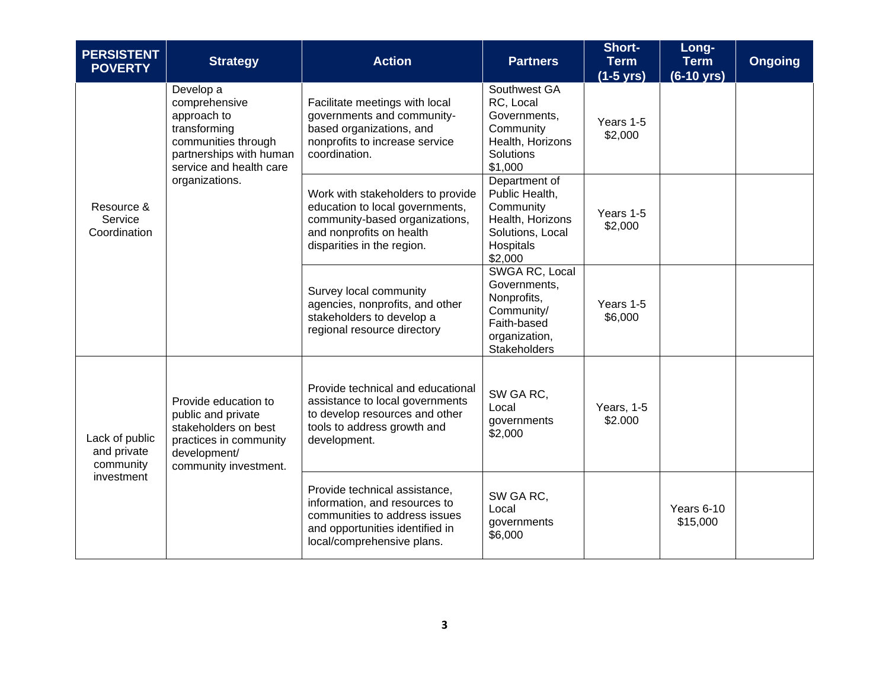| <b>PERSISTENT</b><br><b>POVERTY</b>                      | <b>Strategy</b>                                                                                                                                          | <b>Action</b><br><b>Partners</b>                                                                                                                                 |                                                                                                              | Short-<br><b>Term</b><br>$(1-5$ yrs) | Long-<br><b>Term</b><br>(6-10 yrs) | <b>Ongoing</b> |
|----------------------------------------------------------|----------------------------------------------------------------------------------------------------------------------------------------------------------|------------------------------------------------------------------------------------------------------------------------------------------------------------------|--------------------------------------------------------------------------------------------------------------|--------------------------------------|------------------------------------|----------------|
| Resource &<br>Service<br>Coordination                    | Develop a<br>comprehensive<br>approach to<br>transforming<br>communities through<br>partnerships with human<br>service and health care<br>organizations. | Facilitate meetings with local<br>governments and community-<br>based organizations, and<br>nonprofits to increase service<br>coordination.                      | Southwest GA<br>RC, Local<br>Governments,<br>Community<br>Health, Horizons<br>Solutions<br>\$1,000           | Years 1-5<br>\$2,000                 |                                    |                |
|                                                          |                                                                                                                                                          | Work with stakeholders to provide<br>education to local governments,<br>community-based organizations,<br>and nonprofits on health<br>disparities in the region. | Department of<br>Public Health,<br>Community<br>Health, Horizons<br>Solutions, Local<br>Hospitals<br>\$2,000 | Years 1-5<br>\$2,000                 |                                    |                |
|                                                          |                                                                                                                                                          | Survey local community<br>agencies, nonprofits, and other<br>stakeholders to develop a<br>regional resource directory                                            | SWGA RC, Local<br>Governments,<br>Nonprofits,<br>Community/<br>Faith-based<br>organization,<br>Stakeholders  | Years 1-5<br>\$6,000                 |                                    |                |
| Lack of public<br>and private<br>community<br>investment | Provide education to<br>public and private<br>stakeholders on best<br>practices in community<br>development/<br>community investment.                    | Provide technical and educational<br>assistance to local governments<br>to develop resources and other<br>tools to address growth and<br>development.            | SW GA RC,<br>Local<br>governments<br>\$2,000                                                                 | Years, 1-5<br>\$2.000                |                                    |                |
|                                                          |                                                                                                                                                          | Provide technical assistance,<br>information, and resources to<br>communities to address issues<br>and opportunities identified in<br>local/comprehensive plans. | SW GA RC,<br>Local<br>governments<br>\$6,000                                                                 |                                      | Years 6-10<br>\$15,000             |                |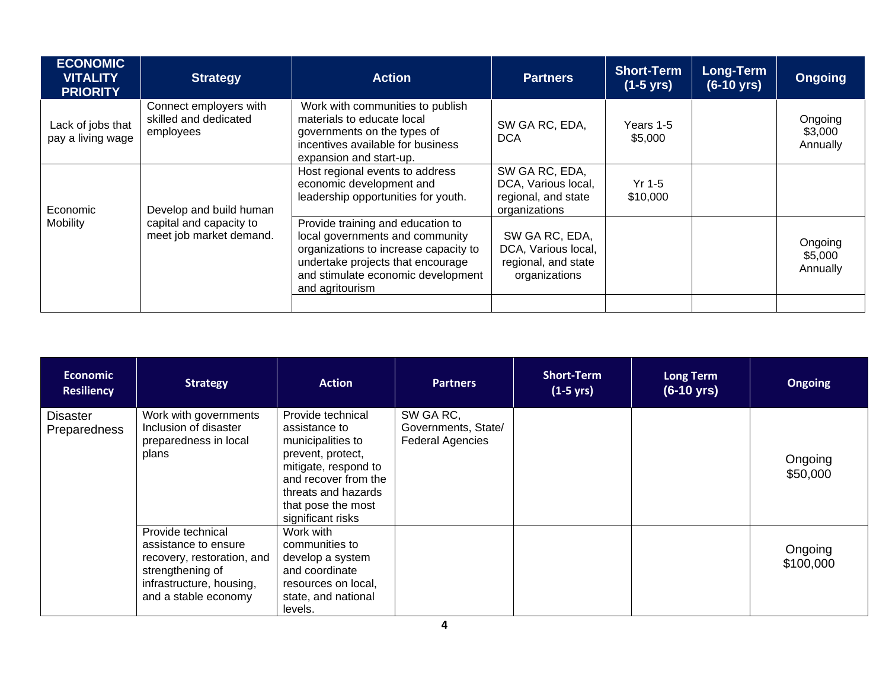| <b>ECONOMIC</b><br><b>VITALITY</b><br><b>PRIORITY</b> | <b>Strategy</b>                                                               | <b>Action</b>                                                                                                                                                                                               | <b>Partners</b>                                                               | <b>Short-Term</b><br>$(1-5 \text{ yrs})$ | <b>Long-Term</b><br>$(6-10 \text{ yrs})$ | <b>Ongoing</b>                 |
|-------------------------------------------------------|-------------------------------------------------------------------------------|-------------------------------------------------------------------------------------------------------------------------------------------------------------------------------------------------------------|-------------------------------------------------------------------------------|------------------------------------------|------------------------------------------|--------------------------------|
| Lack of jobs that<br>pay a living wage                | Connect employers with<br>skilled and dedicated<br>employees                  | Work with communities to publish<br>materials to educate local<br>governments on the types of<br>incentives available for business<br>expansion and start-up.                                               | SW GA RC, EDA,<br><b>DCA</b>                                                  | Years 1-5<br>\$5,000                     |                                          | Ongoing<br>\$3,000<br>Annually |
| Economic<br>Mobility                                  | Develop and build human<br>capital and capacity to<br>meet job market demand. | Host regional events to address<br>economic development and<br>leadership opportunities for youth.                                                                                                          | SW GA RC, EDA,<br>DCA, Various local,<br>regional, and state<br>organizations | $Yr$ 1-5<br>\$10,000                     |                                          |                                |
|                                                       |                                                                               | Provide training and education to<br>local governments and community<br>organizations to increase capacity to<br>undertake projects that encourage<br>and stimulate economic development<br>and agritourism | SW GA RC, EDA,<br>DCA, Various local,<br>regional, and state<br>organizations |                                          |                                          | Ongoing<br>\$5,000<br>Annually |
|                                                       |                                                                               |                                                                                                                                                                                                             |                                                                               |                                          |                                          |                                |

| <b>Economic</b><br><b>Resiliency</b> | <b>Strategy</b>                                                                                                                                 | <b>Action</b>                                                                                                                                                                                  | <b>Partners</b>                                             | <b>Short-Term</b><br>$(1-5 \text{ yrs})$ | <b>Long Term</b><br>$(6-10 \text{ yrs})$ | <b>Ongoing</b>       |
|--------------------------------------|-------------------------------------------------------------------------------------------------------------------------------------------------|------------------------------------------------------------------------------------------------------------------------------------------------------------------------------------------------|-------------------------------------------------------------|------------------------------------------|------------------------------------------|----------------------|
| <b>Disaster</b><br>Preparedness      | Work with governments<br>Inclusion of disaster<br>preparedness in local<br>plans                                                                | Provide technical<br>assistance to<br>municipalities to<br>prevent, protect,<br>mitigate, respond to<br>and recover from the<br>threats and hazards<br>that pose the most<br>significant risks | SW GA RC,<br>Governments, State/<br><b>Federal Agencies</b> |                                          |                                          | Ongoing<br>\$50,000  |
|                                      | Provide technical<br>assistance to ensure<br>recovery, restoration, and<br>strengthening of<br>infrastructure, housing,<br>and a stable economy | Work with<br>communities to<br>develop a system<br>and coordinate<br>resources on local,<br>state, and national<br>levels.                                                                     |                                                             |                                          |                                          | Ongoing<br>\$100,000 |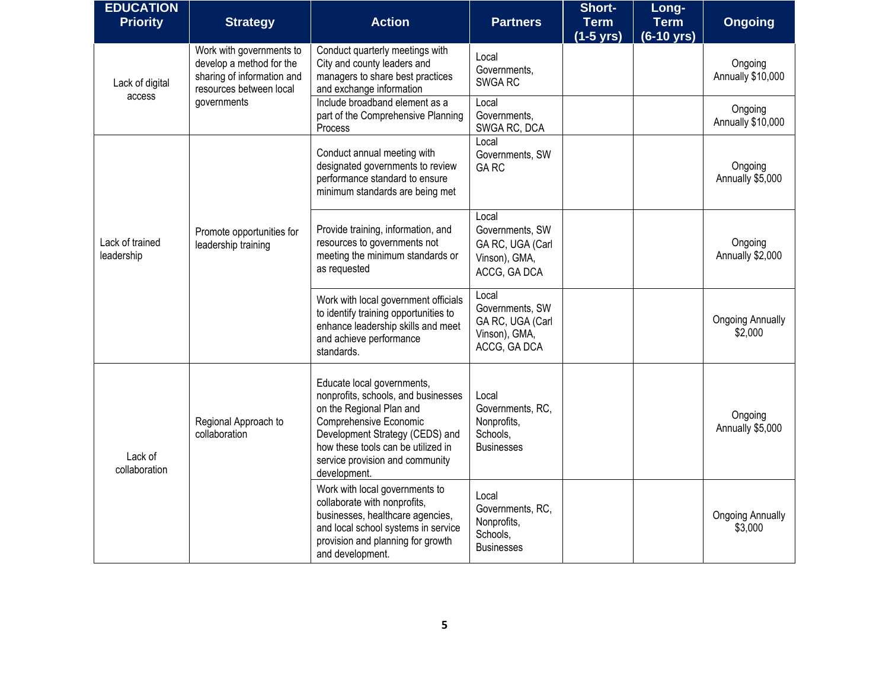| <b>EDUCATION</b><br><b>Priority</b> | <b>Strategy</b>                                                                                               | <b>Action</b>                                                                                                                                                                                                                                       | <b>Partners</b>                                                               | Short-<br><b>Term</b><br>$(1-5 \text{ yrs})$ | Long-<br><b>Term</b><br>$(6-10 \text{ yrs})$ | <b>Ongoing</b>                     |
|-------------------------------------|---------------------------------------------------------------------------------------------------------------|-----------------------------------------------------------------------------------------------------------------------------------------------------------------------------------------------------------------------------------------------------|-------------------------------------------------------------------------------|----------------------------------------------|----------------------------------------------|------------------------------------|
| Lack of digital<br>access           | Work with governments to<br>develop a method for the<br>sharing of information and<br>resources between local | Conduct quarterly meetings with<br>City and county leaders and<br>managers to share best practices<br>and exchange information                                                                                                                      | Local<br>Governments,<br>SWGA RC                                              |                                              |                                              | Ongoing<br>Annually \$10,000       |
|                                     | governments                                                                                                   | Include broadband element as a<br>part of the Comprehensive Planning<br>Process                                                                                                                                                                     | Local<br>Governments,<br>SWGA RC, DCA                                         |                                              |                                              | Ongoing<br>Annually \$10,000       |
| Lack of trained<br>leadership       |                                                                                                               | Conduct annual meeting with<br>designated governments to review<br>performance standard to ensure<br>minimum standards are being met                                                                                                                | Local<br>Governments, SW<br><b>GARC</b>                                       |                                              |                                              | Ongoing<br>Annually \$5,000        |
|                                     | Promote opportunities for<br>leadership training                                                              | Provide training, information, and<br>resources to governments not<br>meeting the minimum standards or<br>as requested                                                                                                                              | Local<br>Governments, SW<br>GA RC, UGA (Carl<br>Vinson), GMA,<br>ACCG, GA DCA |                                              |                                              | Ongoing<br>Annually \$2,000        |
|                                     |                                                                                                               | Work with local government officials<br>to identify training opportunities to<br>enhance leadership skills and meet<br>and achieve performance<br>standards.                                                                                        | Local<br>Governments, SW<br>GA RC, UGA (Carl<br>Vinson), GMA,<br>ACCG, GA DCA |                                              |                                              | <b>Ongoing Annually</b><br>\$2,000 |
| Lack of<br>collaboration            | Regional Approach to<br>collaboration                                                                         | Educate local governments,<br>nonprofits, schools, and businesses<br>on the Regional Plan and<br>Comprehensive Economic<br>Development Strategy (CEDS) and<br>how these tools can be utilized in<br>service provision and community<br>development. | Local<br>Governments, RC,<br>Nonprofits,<br>Schools,<br><b>Businesses</b>     |                                              |                                              | Ongoing<br>Annually \$5,000        |
|                                     |                                                                                                               | Work with local governments to<br>collaborate with nonprofits,<br>businesses, healthcare agencies,<br>and local school systems in service<br>provision and planning for growth<br>and development.                                                  | Local<br>Governments, RC,<br>Nonprofits,<br>Schools,<br><b>Businesses</b>     |                                              |                                              | <b>Ongoing Annually</b><br>\$3,000 |